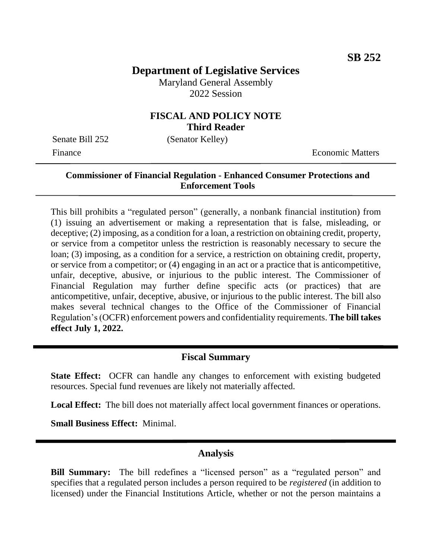# **Department of Legislative Services**

Maryland General Assembly 2022 Session

### **FISCAL AND POLICY NOTE Third Reader**

Senate Bill 252 (Senator Kelley)

Finance **Exercífical Economic Matters** 

### **Commissioner of Financial Regulation - Enhanced Consumer Protections and Enforcement Tools**

This bill prohibits a "regulated person" (generally, a nonbank financial institution) from (1) issuing an advertisement or making a representation that is false, misleading, or deceptive; (2) imposing, as a condition for a loan, a restriction on obtaining credit, property, or service from a competitor unless the restriction is reasonably necessary to secure the loan; (3) imposing, as a condition for a service, a restriction on obtaining credit, property, or service from a competitor; or (4) engaging in an act or a practice that is anticompetitive, unfair, deceptive, abusive, or injurious to the public interest. The Commissioner of Financial Regulation may further define specific acts (or practices) that are anticompetitive, unfair, deceptive, abusive, or injurious to the public interest. The bill also makes several technical changes to the Office of the Commissioner of Financial Regulation's (OCFR) enforcement powers and confidentiality requirements. **The bill takes effect July 1, 2022.**

## **Fiscal Summary**

**State Effect:** OCFR can handle any changes to enforcement with existing budgeted resources. Special fund revenues are likely not materially affected.

**Local Effect:** The bill does not materially affect local government finances or operations.

**Small Business Effect:** Minimal.

### **Analysis**

**Bill Summary:** The bill redefines a "licensed person" as a "regulated person" and specifies that a regulated person includes a person required to be *registered* (in addition to licensed) under the Financial Institutions Article, whether or not the person maintains a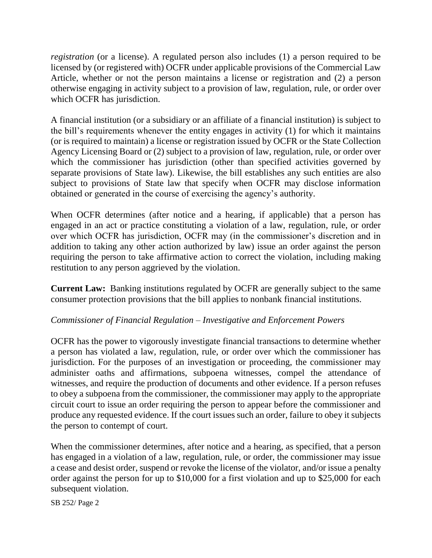*registration* (or a license). A regulated person also includes (1) a person required to be licensed by (or registered with) OCFR under applicable provisions of the Commercial Law Article, whether or not the person maintains a license or registration and (2) a person otherwise engaging in activity subject to a provision of law, regulation, rule, or order over which OCFR has jurisdiction.

A financial institution (or a subsidiary or an affiliate of a financial institution) is subject to the bill's requirements whenever the entity engages in activity (1) for which it maintains (or is required to maintain) a license or registration issued by OCFR or the State Collection Agency Licensing Board or (2) subject to a provision of law, regulation, rule, or order over which the commissioner has jurisdiction (other than specified activities governed by separate provisions of State law). Likewise, the bill establishes any such entities are also subject to provisions of State law that specify when OCFR may disclose information obtained or generated in the course of exercising the agency's authority.

When OCFR determines (after notice and a hearing, if applicable) that a person has engaged in an act or practice constituting a violation of a law, regulation, rule, or order over which OCFR has jurisdiction, OCFR may (in the commissioner's discretion and in addition to taking any other action authorized by law) issue an order against the person requiring the person to take affirmative action to correct the violation, including making restitution to any person aggrieved by the violation.

**Current Law:** Banking institutions regulated by OCFR are generally subject to the same consumer protection provisions that the bill applies to nonbank financial institutions.

### *Commissioner of Financial Regulation – Investigative and Enforcement Powers*

OCFR has the power to vigorously investigate financial transactions to determine whether a person has violated a law, regulation, rule, or order over which the commissioner has jurisdiction. For the purposes of an investigation or proceeding, the commissioner may administer oaths and affirmations, subpoena witnesses, compel the attendance of witnesses, and require the production of documents and other evidence. If a person refuses to obey a subpoena from the commissioner, the commissioner may apply to the appropriate circuit court to issue an order requiring the person to appear before the commissioner and produce any requested evidence. If the court issues such an order, failure to obey it subjects the person to contempt of court.

When the commissioner determines, after notice and a hearing, as specified, that a person has engaged in a violation of a law, regulation, rule, or order, the commissioner may issue a cease and desist order, suspend or revoke the license of the violator, and/or issue a penalty order against the person for up to \$10,000 for a first violation and up to \$25,000 for each subsequent violation.

SB 252/ Page 2